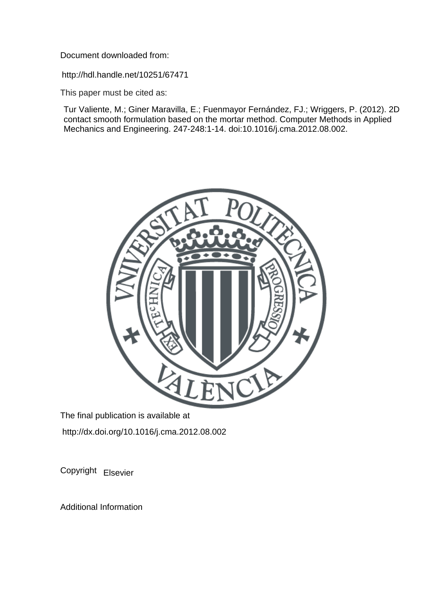Document downloaded from:

http://hdl.handle.net/10251/67471

This paper must be cited as:

Tur Valiente, M.; Giner Maravilla, E.; Fuenmayor Fernández, FJ.; Wriggers, P. (2012). 2D contact smooth formulation based on the mortar method. Computer Methods in Applied Mechanics and Engineering. 247-248:1-14. doi:10.1016/j.cma.2012.08.002.



The final publication is available at http://dx.doi.org/10.1016/j.cma.2012.08.002

Copyright Elsevier

Additional Information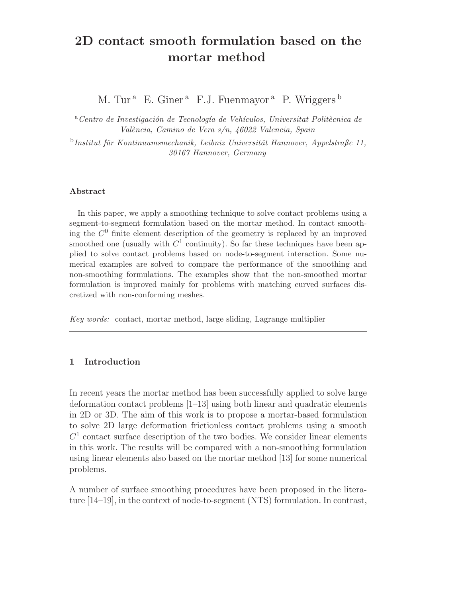# **2D contact smooth formulation based on the mortar method**

M. Tur<sup>a</sup> E. Giner<sup>a</sup> F.J. Fuenmayor<sup>a</sup> P. Wriggers<sup>b</sup>

<sup>a</sup> Centro de Investigación de Tecnología de Vehículos, Universitat Politècnica de *Val`encia, Camino de Vera s/n, 46022 Valencia, Spain*

<sup>b</sup>Institut für Kontinuumsmechanik, Leibniz Universität Hannover, Appelstraße 11, *30167 Hannover, Germany*

## **Abstract**

In this paper, we apply a smoothing technique to solve contact problems using a segment-to-segment formulation based on the mortar method. In contact smoothing the  $C<sup>0</sup>$  finite element description of the geometry is replaced by an improved smoothed one (usually with  $C^1$  continuity). So far these techniques have been applied to solve contact problems based on node-to-segment interaction. Some numerical examples are solved to compare the performance of the smoothing and non-smoothing formulations. The examples show that the non-smoothed mortar formulation is improved mainly for problems with matching curved surfaces discretized with non-conforming meshes.

*Key words:* contact, mortar method, large sliding, Lagrange multiplier

# **1 Introduction**

In recent years the mortar method has been successfully applied to solve large deformation contact problems [1–13] using both linear and quadratic elements in 2D or 3D. The aim of this work is to propose a mortar-based formulation to solve 2D large deformation frictionless contact problems using a smooth  $C<sup>1</sup>$  contact surface description of the two bodies. We consider linear elements in this work. The results will be compared with a non-smoothing formulation using linear elements also based on the mortar method [13] for some numerical problems.

A number of surface smoothing procedures have been proposed in the literature [14–19], in the context of node-to-segment (NTS) formulation. In contrast,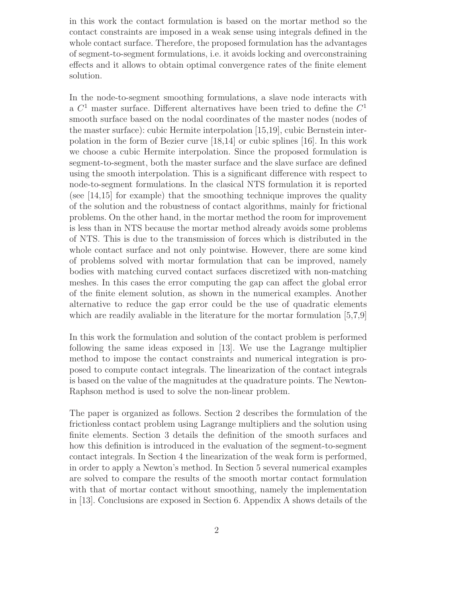in this work the contact formulation is based on the mortar method so the contact constraints are imposed in a weak sense using integrals defined in the whole contact surface. Therefore, the proposed formulation has the advantages of segment-to-segment formulations, i.e. it avoids locking and overconstraining effects and it allows to obtain optimal convergence rates of the finite element solution.

In the node-to-segment smoothing formulations, a slave node interacts with a  $C<sup>1</sup>$  master surface. Different alternatives have been tried to define the  $C<sup>1</sup>$ smooth surface based on the nodal coordinates of the master nodes (nodes of the master surface): cubic Hermite interpolation [15,19], cubic Bernstein interpolation in the form of Bezier curve [18,14] or cubic splines [16]. In this work we choose a cubic Hermite interpolation. Since the proposed formulation is segment-to-segment, both the master surface and the slave surface are defined using the smooth interpolation. This is a significant difference with respect to node-to-segment formulations. In the clasical NTS formulation it is reported (see [14,15] for example) that the smoothing technique improves the quality of the solution and the robustness of contact algorithms, mainly for frictional problems. On the other hand, in the mortar method the room for improvement is less than in NTS because the mortar method already avoids some problems of NTS. This is due to the transmission of forces which is distributed in the whole contact surface and not only pointwise. However, there are some kind of problems solved with mortar formulation that can be improved, namely bodies with matching curved contact surfaces discretized with non-matching meshes. In this cases the error computing the gap can affect the global error of the finite element solution, as shown in the numerical examples. Another alternative to reduce the gap error could be the use of quadratic elements which are readily avaliable in the literature for the mortar formulation [5,7,9]

In this work the formulation and solution of the contact problem is performed following the same ideas exposed in [13]. We use the Lagrange multiplier method to impose the contact constraints and numerical integration is proposed to compute contact integrals. The linearization of the contact integrals is based on the value of the magnitudes at the quadrature points. The Newton-Raphson method is used to solve the non-linear problem.

The paper is organized as follows. Section 2 describes the formulation of the frictionless contact problem using Lagrange multipliers and the solution using finite elements. Section 3 details the definition of the smooth surfaces and how this definition is introduced in the evaluation of the segment-to-segment contact integrals. In Section 4 the linearization of the weak form is performed, in order to apply a Newton's method. In Section 5 several numerical examples are solved to compare the results of the smooth mortar contact formulation with that of mortar contact without smoothing, namely the implementation in [13]. Conclusions are exposed in Section 6. Appendix A shows details of the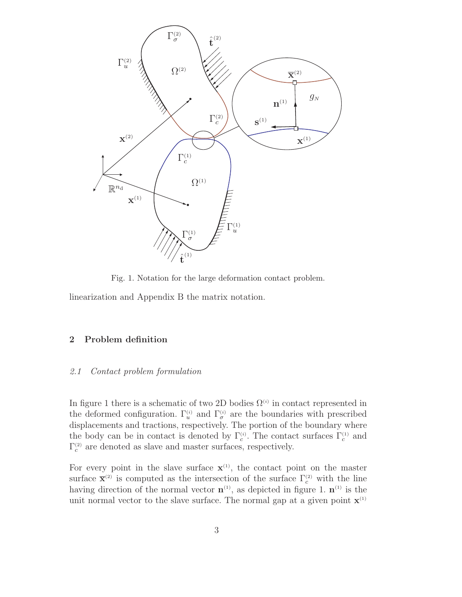

Fig. 1. Notation for the large deformation contact problem.

linearization and Appendix B the matrix notation.

## **2 Problem definition**

#### *2.1 Contact problem formulation*

In figure 1 there is a schematic of two 2D bodies  $\Omega^{(i)}$  in contact represented in the deformed configuration.  $\Gamma_u^{(i)}$  and  $\Gamma_\sigma^{(i)}$  are the boundaries with prescribed displacements and tractions, respectively. The portion of the boundary where the body can be in contact is denoted by  $\Gamma_c^{(i)}$ . The contact surfaces  $\Gamma_c^{(1)}$  and  $\Gamma_c^{(2)}$  are denoted as slave and master surfaces, respectively.

For every point in the slave surface  $\mathbf{x}^{(1)}$ , the contact point on the master surface  $\bar{\mathbf{x}}^{(2)}$  is computed as the intersection of the surface  $\Gamma_c^{(2)}$  with the line having direction of the normal vector  $\mathbf{n}^{(1)}$ , as depicted in figure 1.  $\mathbf{n}^{(1)}$  is the unit normal vector to the slave surface. The normal gap at a given point  $\mathbf{x}^{(1)}$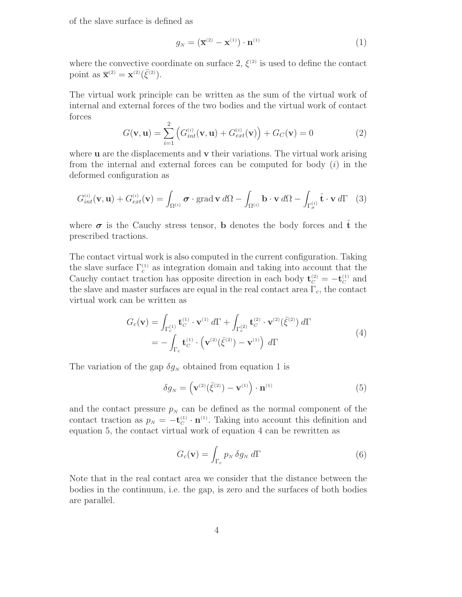of the slave surface is defined as

$$
g_N = \left(\overline{\mathbf{x}}^{(2)} - \mathbf{x}^{(1)}\right) \cdot \mathbf{n}^{(1)} \tag{1}
$$

where the convective coordinate on surface 2,  $\xi^{(2)}$  is used to define the contact point as  $\bar{\mathbf{x}}^{(2)} = \mathbf{x}^{(2)}(\bar{\xi}^{(2)})$ .

The virtual work principle can be written as the sum of the virtual work of internal and external forces of the two bodies and the virtual work of contact forces

$$
G(\mathbf{v}, \mathbf{u}) = \sum_{i=1}^{2} \left( G_{int}^{(i)}(\mathbf{v}, \mathbf{u}) + G_{ext}^{(i)}(\mathbf{v}) \right) + G_C(\mathbf{v}) = 0
$$
 (2)

where **u** are the displacements and **v** their variations. The virtual work arising from the internal and external forces can be computed for body  $(i)$  in the deformed configuration as

$$
G_{int}^{(i)}(\mathbf{v}, \mathbf{u}) + G_{ext}^{(i)}(\mathbf{v}) = \int_{\Omega^{(i)}} \boldsymbol{\sigma} \cdot \text{grad } \mathbf{v} \, d\Omega - \int_{\Omega^{(i)}} \mathbf{b} \cdot \mathbf{v} \, d\Omega - \int_{\Gamma_{\boldsymbol{\sigma}}^{(i)}} \hat{\mathbf{t}} \cdot \mathbf{v} \, d\Gamma \quad (3)
$$

where  $\sigma$  is the Cauchy stress tensor, **b** denotes the body forces and  $\hat{\mathbf{t}}$  the prescribed tractions.

The contact virtual work is also computed in the current configuration. Taking the slave surface  $\Gamma_c^{(1)}$  as integration domain and taking into account that the Cauchy contact traction has opposite direction in each body  $\mathbf{t}_{C}^{(2)} = -\mathbf{t}_{C}^{(1)}$  and the slave and master surfaces are equal in the real contact area  $\Gamma_c$ , the contact virtual work can be written as

$$
G_c(\mathbf{v}) = \int_{\Gamma_c^{(1)}} \mathbf{t}_C^{(1)} \cdot \mathbf{v}^{(1)} d\Gamma + \int_{\Gamma_c^{(2)}} \mathbf{t}_C^{(2)} \cdot \mathbf{v}^{(2)} (\bar{\xi}^{(2)}) d\Gamma
$$
  
= 
$$
- \int_{\Gamma_c} \mathbf{t}_C^{(1)} \cdot \left( \mathbf{v}^{(2)} (\bar{\xi}^{(2)}) - \mathbf{v}^{(1)} \right) d\Gamma
$$
 (4)

The variation of the gap  $\delta g_N$  obtained from equation 1 is

$$
\delta g_N = \left(\mathbf{v}^{(2)}(\bar{\xi}^{(2)}) - \mathbf{v}^{(1)}\right) \cdot \mathbf{n}^{(1)} \tag{5}
$$

and the contact pressure  $p_N$  can be defined as the normal component of the contact traction as  $p_N = -\mathbf{t}_C^{(1)} \cdot \mathbf{n}^{(1)}$ . Taking into account this definition and equation 5, the contact virtual work of equation 4 can be rewritten as

$$
G_c(\mathbf{v}) = \int_{\Gamma_c} p_N \, \delta g_N \, d\Gamma \tag{6}
$$

Note that in the real contact area we consider that the distance between the bodies in the continuum, i.e. the gap, is zero and the surfaces of both bodies are parallel.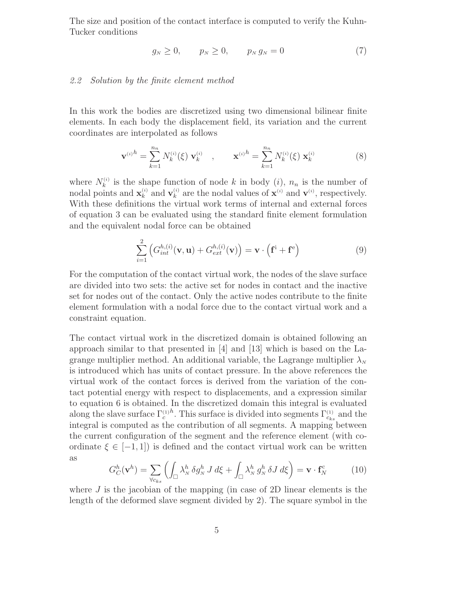The size and position of the contact interface is computed to verify the Kuhn-Tucker conditions

$$
g_N \ge 0, \qquad p_N \ge 0, \qquad p_N g_N = 0 \tag{7}
$$

## *2.2 Solution by the finite element method*

In this work the bodies are discretized using two dimensional bilinear finite elements. In each body the displacement field, its variation and the current coordinates are interpolated as follows

$$
\mathbf{v}^{(i)}{}^{h} = \sum_{k=1}^{n_n} N_k^{(i)}(\xi) \mathbf{v}_k^{(i)} , \qquad \mathbf{x}^{(i)}{}^{h} = \sum_{k=1}^{n_n} N_k^{(i)}(\xi) \mathbf{x}_k^{(i)} \tag{8}
$$

where  $N_k^{(i)}$  is the shape function of node k in body (*i*),  $n_n$  is the number of nodal points and  $\mathbf{x}_k^{(i)}$  and  $\mathbf{v}_k^{(i)}$  are the nodal values of  $\mathbf{x}^{(i)}$  and  $\mathbf{v}^{(i)}$ , respectively. With these definitions the virtual work terms of internal and external forces of equation 3 can be evaluated using the standard finite element formulation and the equivalent nodal force can be obtained

$$
\sum_{i=1}^{2} \left( G_{int}^{h,(i)}(\mathbf{v}, \mathbf{u}) + G_{ext}^{h,(i)}(\mathbf{v}) \right) = \mathbf{v} \cdot \left( \mathbf{f}^{\mathbf{i}} + \mathbf{f}^{\mathbf{e}} \right)
$$
(9)

For the computation of the contact virtual work, the nodes of the slave surface are divided into two sets: the active set for nodes in contact and the inactive set for nodes out of the contact. Only the active nodes contribute to the finite element formulation with a nodal force due to the contact virtual work and a constraint equation.

The contact virtual work in the discretized domain is obtained following an approach similar to that presented in [4] and [13] which is based on the Lagrange multiplier method. An additional variable, the Lagrange multiplier  $\lambda_N$ is introduced which has units of contact pressure. In the above references the virtual work of the contact forces is derived from the variation of the contact potential energy with respect to displacements, and a expression similar to equation 6 is obtained. In the discretized domain this integral is evaluated along the slave surface  $\Gamma_c^{(1)}$ <sup>h</sup>. This surface is divided into segments  $\Gamma_{c_{ks}}^{(1)}$  and the integral is computed as the contribution of all segments. A mapping between the current configuration of the segment and the reference element (with coordinate  $\xi \in [-1, 1]$  is defined and the contact virtual work can be written as

$$
G_C^h(\mathbf{v}^h) = \sum_{\forall c_{ks}} \left( \int_{\square} \lambda_N^h \, \delta g_N^h \, J \, d\xi + \int_{\square} \lambda_N^h \, g_N^h \, \delta J \, d\xi \right) = \mathbf{v} \cdot \mathbf{f}_N^c \tag{10}
$$

where  $J$  is the jacobian of the mapping (in case of 2D linear elements is the length of the deformed slave segment divided by 2). The square symbol in the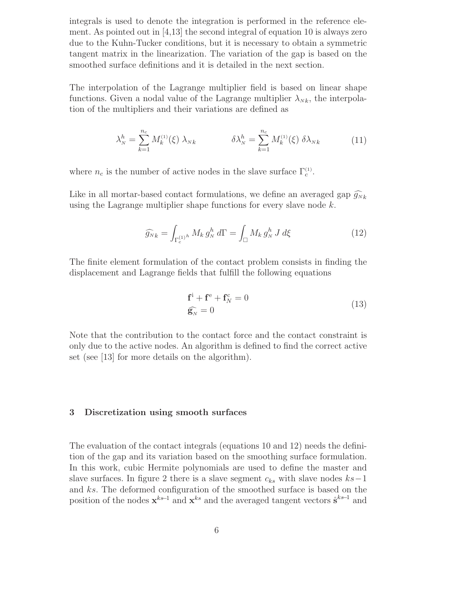integrals is used to denote the integration is performed in the reference element. As pointed out in [4,13] the second integral of equation 10 is always zero due to the Kuhn-Tucker conditions, but it is necessary to obtain a symmetric tangent matrix in the linearization. The variation of the gap is based on the smoothed surface definitions and it is detailed in the next section.

The interpolation of the Lagrange multiplier field is based on linear shape functions. Given a nodal value of the Lagrange multiplier  $\lambda_{N,k}$ , the interpolation of the multipliers and their variations are defined as

$$
\lambda_N^h = \sum_{k=1}^{n_c} M_k^{(1)}(\xi) \lambda_{Nk} \qquad \delta \lambda_N^h = \sum_{k=1}^{n_c} M_k^{(1)}(\xi) \delta \lambda_{Nk} \qquad (11)
$$

where  $n_c$  is the number of active nodes in the slave surface  $\Gamma_c^{(1)}$ .

Like in all mortar-based contact formulations, we define an averaged gap  $\widehat{g}_{N_k}$ using the Lagrange multiplier shape functions for every slave node k.

$$
\widehat{g_N}_k = \int_{\Gamma_c^{(1)^h}} M_k g_N^h \, d\Gamma = \int_{\square} M_k g_N^h \, J \, d\xi \tag{12}
$$

The finite element formulation of the contact problem consists in finding the displacement and Lagrange fields that fulfill the following equations

$$
\mathbf{f}^{\mathbf{i}} + \mathbf{f}^{\mathbf{e}} + \mathbf{f}_{N}^{\mathbf{c}} = 0
$$
\n
$$
\widehat{\mathbf{g}_{N}} = 0
$$
\n(13)

Note that the contribution to the contact force and the contact constraint is only due to the active nodes. An algorithm is defined to find the correct active set (see [13] for more details on the algorithm).

## **3 Discretization using smooth surfaces**

The evaluation of the contact integrals (equations 10 and 12) needs the definition of the gap and its variation based on the smoothing surface formulation. In this work, cubic Hermite polynomials are used to define the master and slave surfaces. In figure 2 there is a slave segment  $c_{ks}$  with slave nodes  $ks-1$ and ks. The deformed configuration of the smoothed surface is based on the position of the nodes  $\mathbf{x}^{ks-1}$  and  $\mathbf{x}^{ks}$  and the averaged tangent vectors  $\hat{\mathbf{s}}^{ks-1}$  and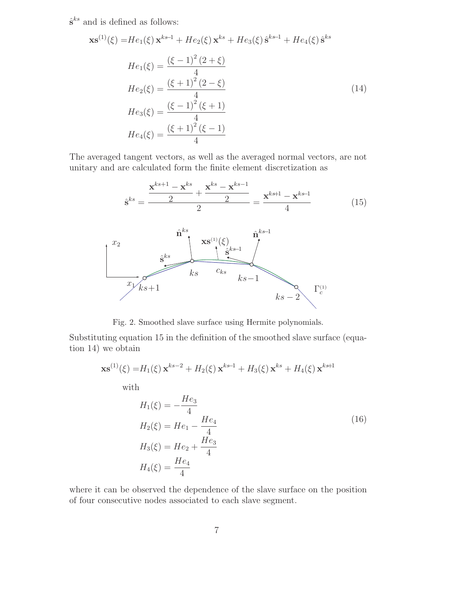$\hat{\mathbf{s}}^{ks}$  and is defined as follows:

$$
\mathbf{x}\mathbf{s}^{(1)}(\xi) = He_1(\xi)\,\mathbf{x}^{ks-1} + He_2(\xi)\,\mathbf{x}^{ks} + He_3(\xi)\,\hat{\mathbf{s}}^{ks-1} + He_4(\xi)\,\hat{\mathbf{s}}^{ks}
$$
\n
$$
He_1(\xi) = \frac{(\xi - 1)^2 (2 + \xi)}{4}
$$
\n
$$
He_2(\xi) = \frac{(\xi + 1)^2 (2 - \xi)}{4}
$$
\n
$$
He_3(\xi) = \frac{(\xi - 1)^2 (\xi + 1)}{4}
$$
\n
$$
He_4(\xi) = \frac{(\xi + 1)^2 (\xi - 1)}{4}
$$
\n(14)

The averaged tangent vectors, as well as the averaged normal vectors, are not unitary and are calculated form the finite element discretization as

$$
\hat{\mathbf{s}}^{ks} = \frac{\mathbf{x}^{ks+1} - \mathbf{x}^{ks}}{2} + \frac{\mathbf{x}^{ks} - \mathbf{x}^{ks-1}}{2} = \frac{\mathbf{x}^{ks+1} - \mathbf{x}^{ks-1}}{4}
$$
(15)



Fig. 2. Smoothed slave surface using Hermite polynomials.

Substituting equation 15 in the definition of the smoothed slave surface (equation 14) we obtain

$$
\mathbf{x}\mathbf{s}^{(1)}(\xi) = H_1(\xi)\,\mathbf{x}^{ks-2} + H_2(\xi)\,\mathbf{x}^{ks-1} + H_3(\xi)\,\mathbf{x}^{ks} + H_4(\xi)\,\mathbf{x}^{ks+1}
$$

with

$$
H_1(\xi) = -\frac{He_3}{4}
$$
  
\n
$$
H_2(\xi) = He_1 - \frac{He_4}{4}
$$
  
\n
$$
H_3(\xi) = He_2 + \frac{He_3}{4}
$$
  
\n
$$
H_4(\xi) = \frac{He_4}{4}
$$
\n(16)

where it can be observed the dependence of the slave surface on the position of four consecutive nodes associated to each slave segment.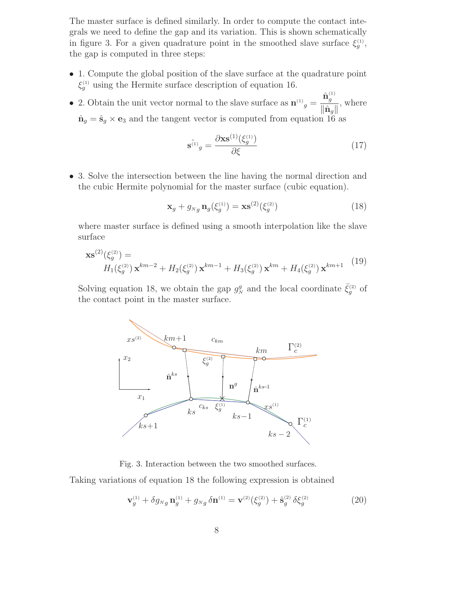The master surface is defined similarly. In order to compute the contact integrals we need to define the gap and its variation. This is shown schematically in figure 3. For a given quadrature point in the smoothed slave surface  $\xi_g^{(1)}$ , the gap is computed in three steps:

- 1. Compute the global position of the slave surface at the quadrature point  $\xi_g^{(1)}$  using the Hermite surface description of equation 16.
- 2. Obtain the unit vector normal to the slave surface as  $\mathbf{n}^{(1)}_g = \frac{\hat{\mathbf{n}}_g^{(1)}}{\|\hat{\mathbf{n}}\|}$  $\|\hat{\mathbf{n}}_g\|$ , where  $\hat{\mathbf{n}}_g = \hat{\mathbf{s}}_g \times \mathbf{e}_3$  and the tangent vector is computed from equation 16 as

$$
\mathbf{s}^{\hat{\mathbf{u}}_j}g = \frac{\partial \mathbf{x}\mathbf{s}^{(1)}(\xi_g^{\mathbf{u}})}{\partial \xi} \tag{17}
$$

• 3. Solve the intersection between the line having the normal direction and the cubic Hermite polynomial for the master surface (cubic equation).

$$
\mathbf{x}_g + g_{Ng} \, \mathbf{n}_g(\xi_g^{(1)}) = \mathbf{x} \mathbf{s}^{(2)}(\xi_g^{(2)}) \tag{18}
$$

where master surface is defined using a smooth interpolation like the slave surface

$$
\mathbf{x}\mathbf{s}^{(2)}(\xi_g^{(2)}) = H_1(\xi_g^{(2)})\,\mathbf{x}^{km-2} + H_2(\xi_g^{(2)})\,\mathbf{x}^{km-1} + H_3(\xi_g^{(2)})\,\mathbf{x}^{km} + H_4(\xi_g^{(2)})\,\mathbf{x}^{km+1}
$$
(19)

Solving equation 18, we obtain the gap  $g_N^g$  and the local coordinate  $\bar{\xi}_g^{(2)}$  of the contact point in the master surface.



Fig. 3. Interaction between the two smoothed surfaces.

Taking variations of equation 18 the following expression is obtained

$$
\mathbf{v}_g^{(1)} + \delta g_{Ng} \mathbf{n}_g^{(1)} + g_{Ng} \delta \mathbf{n}^{(1)} = \mathbf{v}^{(2)} (\xi_g^{(2)}) + \hat{\mathbf{s}}_g^{(2)} \delta \xi_g^{(2)}
$$
(20)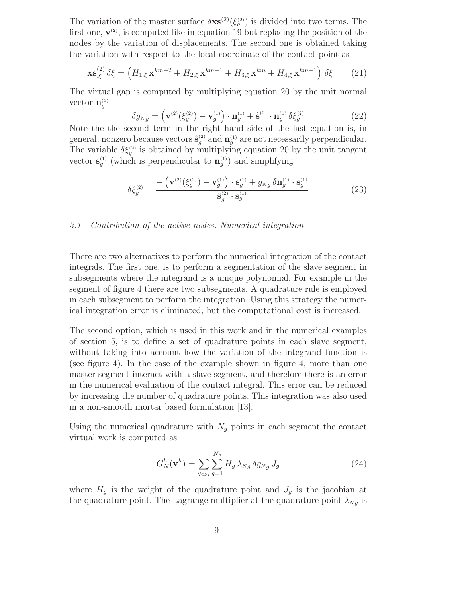The variation of the master surface  $\delta$ **xs**<sup>(2)</sup>( $\xi_g^{(2)}$ ) is divided into two terms. The first one,  $\mathbf{v}^{(2)}$ , is computed like in equation 19 but replacing the position of the nodes by the variation of displacements. The second one is obtained taking the variation with respect to the local coordinate of the contact point as

$$
\mathbf{x}\mathbf{s}_{,\xi}^{(2)}\,\delta\xi = \left(H_{1,\xi}\,\mathbf{x}^{km-2} + H_{2,\xi}\,\mathbf{x}^{km-1} + H_{3,\xi}\,\mathbf{x}^{km} + H_{4,\xi}\,\mathbf{x}^{km+1}\right)\,\delta\xi\tag{21}
$$

The virtual gap is computed by multiplying equation 20 by the unit normal vector  $\mathbf{n}_g^{(1)}$ 

$$
\delta g_{Ng} = \left(\mathbf{v}^{(2)}(\xi_g^{(2)}) - \mathbf{v}_g^{(1)}\right) \cdot \mathbf{n}_g^{(1)} + \hat{\mathbf{s}}^{(2)} \cdot \mathbf{n}_g^{(1)} \delta \xi_g^{(2)} \tag{22}
$$

Note the the second term in the right hand side of the last equation is, in general, nonzero because vectors  $\hat{\mathbf{s}}_g^{(2)}$  and  $\mathbf{n}_g^{(1)}$  are not necessarily perpendicular. The variable  $\delta \xi_g^{(2)}$  is obtained by multiplying equation 20 by the unit tangent vector  $\mathbf{s}_{g}^{(1)}$  (which is perpendicular to  $\mathbf{n}_{g}^{(1)}$ ) and simplifying

$$
\delta \xi_g^{(2)} = \frac{-\left(\mathbf{v}^{(2)}(\xi_g^{(2)}) - \mathbf{v}_g^{(1)}\right) \cdot \mathbf{s}_g^{(1)} + g_{Ng} \,\delta \mathbf{n}_g^{(1)} \cdot \mathbf{s}_g^{(1)}}{\hat{\mathbf{s}}_g^{(2)} \cdot \mathbf{s}_g^{(1)}}\tag{23}
$$

## *3.1 Contribution of the active nodes. Numerical integration*

There are two alternatives to perform the numerical integration of the contact integrals. The first one, is to perform a segmentation of the slave segment in subsegments where the integrand is a unique polynomial. For example in the segment of figure 4 there are two subsegments. A quadrature rule is employed in each subsegment to perform the integration. Using this strategy the numerical integration error is eliminated, but the computational cost is increased.

The second option, which is used in this work and in the numerical examples of section 5, is to define a set of quadrature points in each slave segment, without taking into account how the variation of the integrand function is (see figure 4). In the case of the example shown in figure 4, more than one master segment interact with a slave segment, and therefore there is an error in the numerical evaluation of the contact integral. This error can be reduced by increasing the number of quadrature points. This integration was also used in a non-smooth mortar based formulation [13].

Using the numerical quadrature with  $N_g$  points in each segment the contact virtual work is computed as

$$
G_N^h(\mathbf{v}^h) = \sum_{\forall c_{ks}} \sum_{g=1}^{N_g} H_g \,\lambda_{Ng} \,\delta g_{Ng} \, J_g \tag{24}
$$

where  $H<sub>g</sub>$  is the weight of the quadrature point and  $J<sub>g</sub>$  is the jacobian at the quadrature point. The Lagrange multiplier at the quadrature point  $\lambda_{Ng}$  is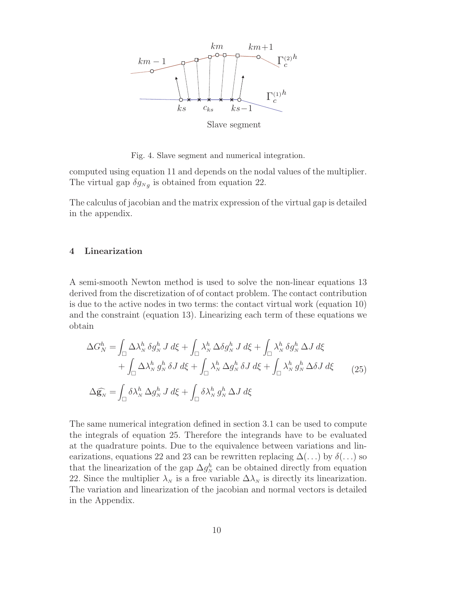

Fig. 4. Slave segment and numerical integration.

computed using equation 11 and depends on the nodal values of the multiplier. The virtual gap  $\delta g_{N_q}$  is obtained from equation 22.

The calculus of jacobian and the matrix expression of the virtual gap is detailed in the appendix.

## **4 Linearization**

A semi-smooth Newton method is used to solve the non-linear equations 13 derived from the discretization of of contact problem. The contact contribution is due to the active nodes in two terms: the contact virtual work (equation 10) and the constraint (equation 13). Linearizing each term of these equations we obtain

$$
\Delta G_N^h = \int_{\square} \Delta \lambda_N^h \, \delta g_N^h \, J \, d\xi + \int_{\square} \lambda_N^h \, \Delta \delta g_N^h \, J \, d\xi + \int_{\square} \lambda_N^h \, \delta g_N^h \, \Delta J \, d\xi + \int_{\square} \Delta \lambda_N^h \, g_N^h \, \delta J \, d\xi + \int_{\square} \lambda_N^h \, \Delta g_N^h \, \delta J \, d\xi + \int_{\square} \lambda_N^h \, g_N^h \, \Delta \delta J \, d\xi
$$
(25)  

$$
\Delta \widehat{\mathbf{g}_N} = \int_{\square} \delta \lambda_N^h \, \Delta g_N^h \, J \, d\xi + \int_{\square} \delta \lambda_N^h \, g_N^h \, \Delta J \, d\xi
$$

The same numerical integration defined in section 3.1 can be used to compute the integrals of equation 25. Therefore the integrands have to be evaluated at the quadrature points. Due to the equivalence between variations and linearizations, equations 22 and 23 can be rewritten replacing  $\Delta(\ldots)$  by  $\delta(\ldots)$  so that the linearization of the gap  $\Delta g_N^h$  can be obtained directly from equation 22. Since the multiplier  $\lambda_N$  is a free variable  $\Delta\lambda_N$  is directly its linearization. The variation and linearization of the jacobian and normal vectors is detailed in the Appendix.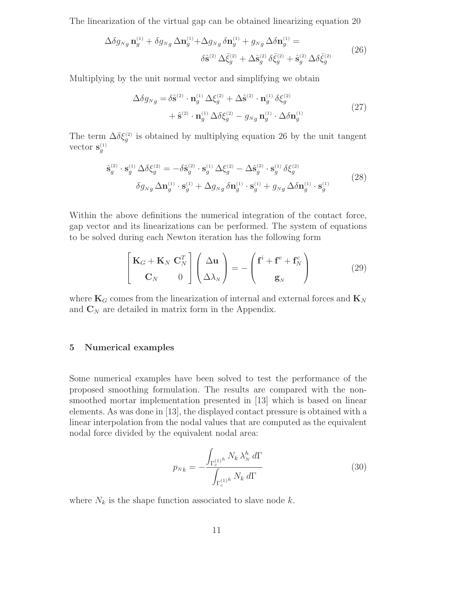The linearization of the virtual gap can be obtained linearizing equation 20

$$
\Delta \delta g_{Ng} \mathbf{n}_g^{(1)} + \delta g_{Ng} \Delta \mathbf{n}_g^{(1)} + \Delta g_{Ng} \delta \mathbf{n}_g^{(1)} + g_{Ng} \Delta \delta \mathbf{n}_g^{(1)} =
$$
  

$$
\delta \hat{\mathbf{s}}^{(2)} \Delta \bar{\xi}_g^{(2)} + \Delta \hat{\mathbf{s}}_g^{(2)} \delta \bar{\xi}_g^{(2)} + \hat{\mathbf{s}}_g^{(2)} \Delta \delta \bar{\xi}_g^{(2)}
$$
(26)

Multiplying by the unit normal vector and simplifying we obtain

$$
\Delta \delta g_{Ng} = \delta \hat{\mathbf{s}}^{(2)} \cdot \mathbf{n}_g^{(1)} \Delta \xi_g^{(2)} + \Delta \hat{\mathbf{s}}^{(2)} \cdot \mathbf{n}_g^{(1)} \delta \xi_g^{(2)} \n+ \hat{\mathbf{s}}^{(2)} \cdot \mathbf{n}_g^{(1)} \Delta \delta \xi_g^{(2)} - g_{Ng} \mathbf{n}_g^{(1)} \cdot \Delta \delta \mathbf{n}_g^{(1)}
$$
\n(27)

The term  $\Delta \delta \xi_g^{(2)}$  is obtained by multiplying equation 26 by the unit tangent vector  $\mathbf{s}_g^{(1)}$ 

$$
\hat{\mathbf{s}}_{g}^{(2)} \cdot \mathbf{s}_{g}^{(1)} \Delta \delta \xi_{g}^{(2)} = -\delta \hat{\mathbf{s}}_{g}^{(2)} \cdot \mathbf{s}_{g}^{(1)} \Delta \xi_{g}^{(2)} - \Delta \hat{\mathbf{s}}_{g}^{(2)} \cdot \mathbf{s}_{g}^{(1)} \delta \xi_{g}^{(2)}
$$
\n
$$
\delta g_{Ng} \Delta \mathbf{n}_{g}^{(1)} \cdot \mathbf{s}_{g}^{(1)} + \Delta g_{Ng} \delta \mathbf{n}_{g}^{(1)} \cdot \mathbf{s}_{g}^{(1)} + g_{Ng} \Delta \delta \mathbf{n}_{g}^{(1)} \cdot \mathbf{s}_{g}^{(1)}
$$
\n(28)

Within the above definitions the numerical integration of the contact force, gap vector and its linearizations can be performed. The system of equations to be solved during each Newton iteration has the following form

$$
\begin{bmatrix} \mathbf{K}_G + \mathbf{K}_N & \mathbf{C}_N^T \\ \mathbf{C}_N & 0 \end{bmatrix} \begin{pmatrix} \Delta \mathbf{u} \\ \Delta \lambda_N \end{pmatrix} = - \begin{pmatrix} \mathbf{f}^i + \mathbf{f}^e + \mathbf{f}_N^c \\ \mathbf{g}_N \end{pmatrix}
$$
(29)

where  $\mathbf{K}_G$  comes from the linearization of internal and external forces and  $\mathbf{K}_N$ and  $\mathbf{C}_N$  are detailed in matrix form in the Appendix.

## **5 Numerical examples**

Some numerical examples have been solved to test the performance of the proposed smoothing formulation. The results are compared with the nonsmoothed mortar implementation presented in [13] which is based on linear elements. As was done in [13], the displayed contact pressure is obtained with a linear interpolation from the nodal values that are computed as the equivalent nodal force divided by the equivalent nodal area:

$$
p_{Nk} = -\frac{\int_{\Gamma_c^{(1)^h}} N_k \,\lambda_N^h \,d\Gamma}{\int_{\Gamma_c^{(1)^h}} N_k \,d\Gamma}
$$
(30)

where  $N_k$  is the shape function associated to slave node  $k$ .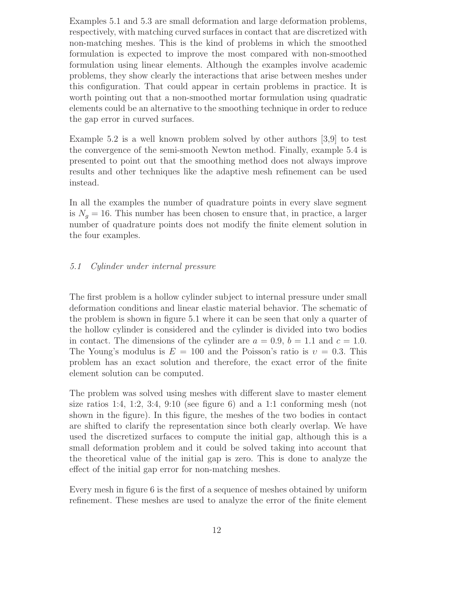Examples 5.1 and 5.3 are small deformation and large deformation problems, respectively, with matching curved surfaces in contact that are discretized with non-matching meshes. This is the kind of problems in which the smoothed formulation is expected to improve the most compared with non-smoothed formulation using linear elements. Although the examples involve academic problems, they show clearly the interactions that arise between meshes under this configuration. That could appear in certain problems in practice. It is worth pointing out that a non-smoothed mortar formulation using quadratic elements could be an alternative to the smoothing technique in order to reduce the gap error in curved surfaces.

Example 5.2 is a well known problem solved by other authors [3,9] to test the convergence of the semi-smooth Newton method. Finally, example 5.4 is presented to point out that the smoothing method does not always improve results and other techniques like the adaptive mesh refinement can be used instead.

In all the examples the number of quadrature points in every slave segment is  $N_q = 16$ . This number has been chosen to ensure that, in practice, a larger number of quadrature points does not modify the finite element solution in the four examples.

## *5.1 Cylinder under internal pressure*

The first problem is a hollow cylinder subject to internal pressure under small deformation conditions and linear elastic material behavior. The schematic of the problem is shown in figure 5.1 where it can be seen that only a quarter of the hollow cylinder is considered and the cylinder is divided into two bodies in contact. The dimensions of the cylinder are  $a = 0.9$ ,  $b = 1.1$  and  $c = 1.0$ . The Young's modulus is  $E = 100$  and the Poisson's ratio is  $v = 0.3$ . This problem has an exact solution and therefore, the exact error of the finite element solution can be computed.

The problem was solved using meshes with different slave to master element size ratios 1:4, 1:2, 3:4, 9:10 (see figure 6) and a 1:1 conforming mesh (not shown in the figure). In this figure, the meshes of the two bodies in contact are shifted to clarify the representation since both clearly overlap. We have used the discretized surfaces to compute the initial gap, although this is a small deformation problem and it could be solved taking into account that the theoretical value of the initial gap is zero. This is done to analyze the effect of the initial gap error for non-matching meshes.

Every mesh in figure 6 is the first of a sequence of meshes obtained by uniform refinement. These meshes are used to analyze the error of the finite element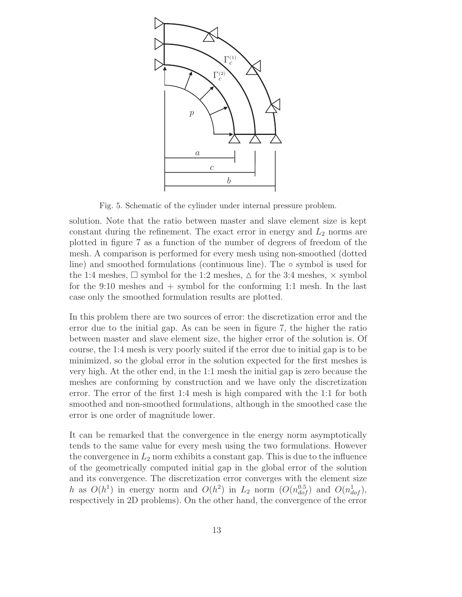

Fig. 5. Schematic of the cylinder under internal pressure problem.

solution. Note that the ratio between master and slave element size is kept constant during the refinement. The exact error in energy and  $L_2$  norms are plotted in figure 7 as a function of the number of degrees of freedom of the mesh. A comparison is performed for every mesh using non-smoothed (dotted line) and smoothed formulations (continuous line). The  $\circ$  symbol is used for the 1:4 meshes,  $\Box$  symbol for the 1:2 meshes,  $\triangle$  for the 3:4 meshes,  $\times$  symbol for the 9:10 meshes and + symbol for the conforming 1:1 mesh. In the last case only the smoothed formulation results are plotted.

In this problem there are two sources of error: the discretization error and the error due to the initial gap. As can be seen in figure 7, the higher the ratio between master and slave element size, the higher error of the solution is. Of course, the 1:4 mesh is very poorly suited if the error due to initial gap is to be minimized, so the global error in the solution expected for the first meshes is very high. At the other end, in the 1:1 mesh the initial gap is zero because the meshes are conforming by construction and we have only the discretization error. The error of the first 1:4 mesh is high compared with the 1:1 for both smoothed and non-smoothed formulations, although in the smoothed case the error is one order of magnitude lower.

It can be remarked that the convergence in the energy norm asymptotically tends to the same value for every mesh using the two formulations. However the convergence in  $L_2$  norm exhibits a constant gap. This is due to the influence of the geometrically computed initial gap in the global error of the solution and its convergence. The discretization error converges with the element size h as  $O(h^1)$  in energy norm and  $O(h^2)$  in  $L_2$  norm  $(O(n_{dof}^{0.5})$  and  $O(n_{dof}^1)$ , respectively in 2D problems). On the other hand, the convergence of the error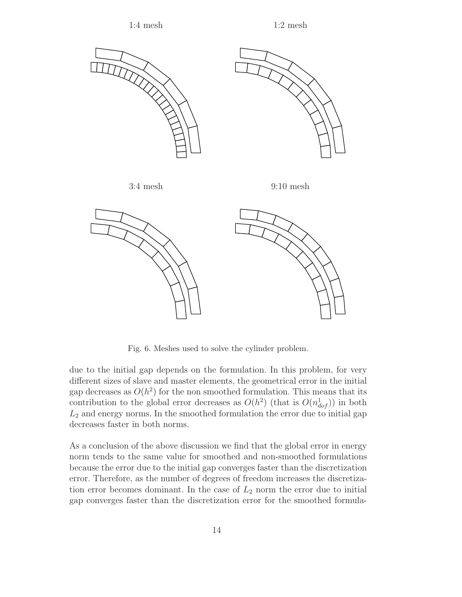

Fig. 6. Meshes used to solve the cylinder problem.

due to the initial gap depends on the formulation. In this problem, for very different sizes of slave and master elements, the geometrical error in the initial gap decreases as  $O(h^2)$  for the non smoothed formulation. This means that its contribution to the global error decreases as  $O(h^2)$  (that is  $O(n_{dof}^1)$ ) in both  $L<sub>2</sub>$  and energy norms. In the smoothed formulation the error due to initial gap decreases faster in both norms.

As a conclusion of the above discussion we find that the global error in energy norm tends to the same value for smoothed and non-smoothed formulations because the error due to the initial gap converges faster than the discretization error. Therefore, as the number of degrees of freedom increases the discretization error becomes dominant. In the case of  $L_2$  norm the error due to initial gap converges faster than the discretization error for the smoothed formula-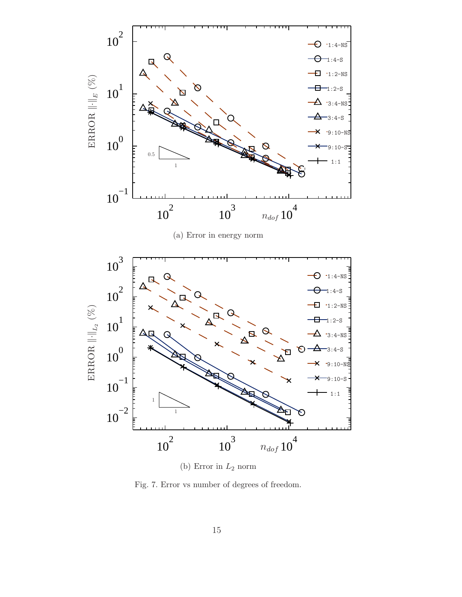

Fig. 7. Error vs number of degrees of freedom.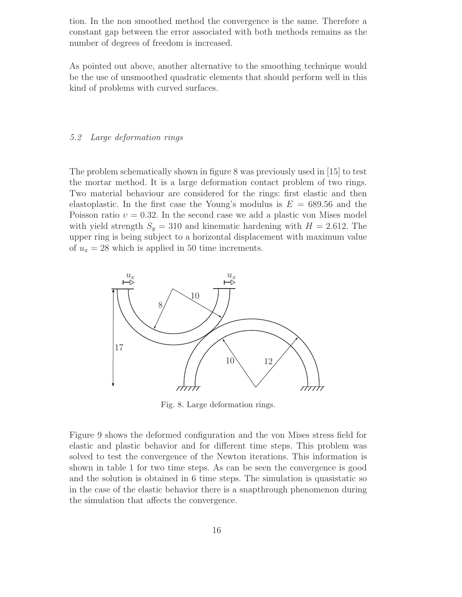tion. In the non smoothed method the convergence is the same. Therefore a constant gap between the error associated with both methods remains as the number of degrees of freedom is increased.

As pointed out above, another alternative to the smoothing technique would be the use of unsmoothed quadratic elements that should perform well in this kind of problems with curved surfaces.

## *5.2 Large deformation rings*

The problem schematically shown in figure 8 was previously used in [15] to test the mortar method. It is a large deformation contact problem of two rings. Two material behaviour are considered for the rings: first elastic and then elastoplastic. In the first case the Young's modulus is  $E = 689.56$  and the Poisson ratio  $v = 0.32$ . In the second case we add a plastic von Mises model with yield strength  $S_y = 310$  and kinematic hardening with  $H = 2.612$ . The upper ring is being subject to a horizontal displacement with maximum value of  $u_x = 28$  which is applied in 50 time increments.



Fig. 8. Large deformation rings.

Figure 9 shows the deformed configuration and the von Mises stress field for elastic and plastic behavior and for different time steps. This problem was solved to test the convergence of the Newton iterations. This information is shown in table 1 for two time steps. As can be seen the convergence is good and the solution is obtained in 6 time steps. The simulation is quasistatic so in the case of the elastic behavior there is a snapthrough phenomenon during the simulation that affects the convergence.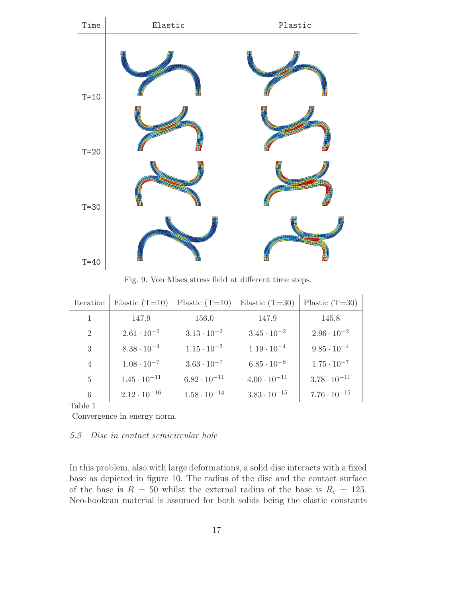

Fig. 9. Von Mises stress field at different time steps.

| Iteration      | Elastic $(T=10)$      | Plastic $(T=10)$      | Elastic $(T=30)$      | Plastic $(T=30)$      |
|----------------|-----------------------|-----------------------|-----------------------|-----------------------|
| 1              | 147.9                 | 156.0                 | 147.9                 | 145.8                 |
| 2              | $2.61 \cdot 10^{-2}$  | $3.13 \cdot 10^{-2}$  | $3.45 \cdot 10^{-2}$  | $2.96 \cdot 10^{-2}$  |
| 3              | $8.38 \cdot 10^{-4}$  | $1.15 \cdot 10^{-3}$  | $1.19 \cdot 10^{-4}$  | $9.85 \cdot 10^{-4}$  |
| $\overline{4}$ | $1.08 \cdot 10^{-7}$  | $3.63 \cdot 10^{-7}$  | $6.85 \cdot 10^{-8}$  | $1.75 \cdot 10^{-7}$  |
| $\overline{5}$ | $1.45 \cdot 10^{-11}$ | $6.82 \cdot 10^{-11}$ | $4.00 \cdot 10^{-11}$ | $3.78 \cdot 10^{-11}$ |
| 6              | $2.12 \cdot 10^{-16}$ | $1.58 \cdot 10^{-14}$ | $3.83 \cdot 10^{-15}$ | $7.76 \cdot 10^{-15}$ |

Table 1

Convergence in energy norm.

#### *5.3 Disc in contact semicircular hole*

In this problem, also with large deformations, a solid disc interacts with a fixed base as depicted in figure 10. The radius of the disc and the contact surface of the base is  $R = 50$  whilst the external radius of the base is  $R_e = 125$ . Neo-hookean material is assumed for both solids being the elastic constants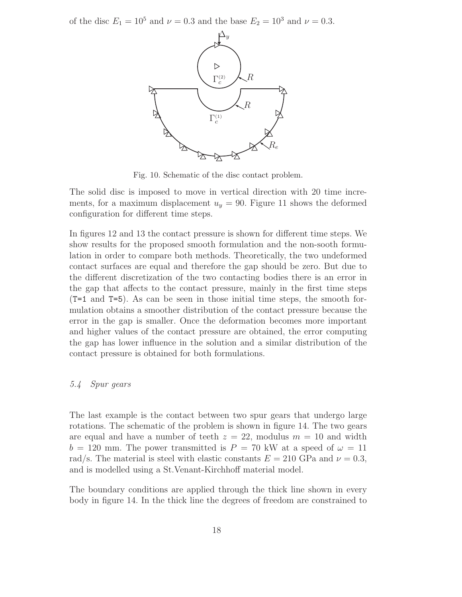of the disc  $E_1 = 10^5$  and  $\nu = 0.3$  and the base  $E_2 = 10^3$  and  $\nu = 0.3$ .



Fig. 10. Schematic of the disc contact problem.

The solid disc is imposed to move in vertical direction with 20 time increments, for a maximum displacement  $u_y = 90$ . Figure 11 shows the deformed configuration for different time steps.

In figures 12 and 13 the contact pressure is shown for different time steps. We show results for the proposed smooth formulation and the non-sooth formulation in order to compare both methods. Theoretically, the two undeformed contact surfaces are equal and therefore the gap should be zero. But due to the different discretization of the two contacting bodies there is an error in the gap that affects to the contact pressure, mainly in the first time steps (T=1 and T=5). As can be seen in those initial time steps, the smooth formulation obtains a smoother distribution of the contact pressure because the error in the gap is smaller. Once the deformation becomes more important and higher values of the contact pressure are obtained, the error computing the gap has lower influence in the solution and a similar distribution of the contact pressure is obtained for both formulations.

## *5.4 Spur gears*

The last example is the contact between two spur gears that undergo large rotations. The schematic of the problem is shown in figure 14. The two gears are equal and have a number of teeth  $z = 22$ , modulus  $m = 10$  and width  $b = 120$  mm. The power transmitted is  $P = 70$  kW at a speed of  $\omega = 11$ rad/s. The material is steel with elastic constants  $E = 210$  GPa and  $\nu = 0.3$ , and is modelled using a St.Venant-Kirchhoff material model.

The boundary conditions are applied through the thick line shown in every body in figure 14. In the thick line the degrees of freedom are constrained to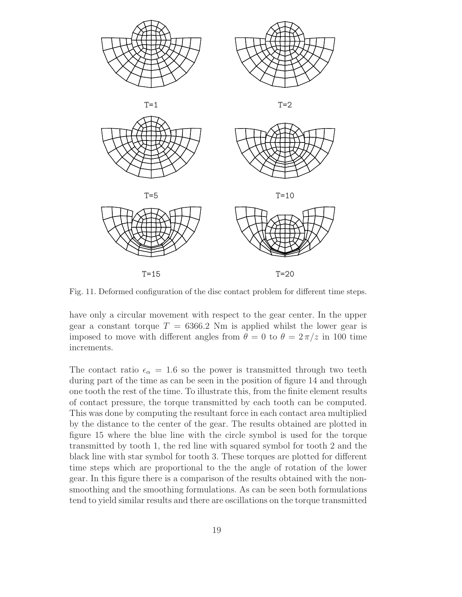

Fig. 11. Deformed configuration of the disc contact problem for different time steps.

have only a circular movement with respect to the gear center. In the upper gear a constant torque  $T = 6366.2$  Nm is applied whilst the lower gear is imposed to move with different angles from  $\theta = 0$  to  $\theta = 2\pi/z$  in 100 time increments.

The contact ratio  $\epsilon_{\alpha} = 1.6$  so the power is transmitted through two teeth during part of the time as can be seen in the position of figure 14 and through one tooth the rest of the time. To illustrate this, from the finite element results of contact pressure, the torque transmitted by each tooth can be computed. This was done by computing the resultant force in each contact area multiplied by the distance to the center of the gear. The results obtained are plotted in figure 15 where the blue line with the circle symbol is used for the torque transmitted by tooth 1, the red line with squared symbol for tooth 2 and the black line with star symbol for tooth 3. These torques are plotted for different time steps which are proportional to the the angle of rotation of the lower gear. In this figure there is a comparison of the results obtained with the nonsmoothing and the smoothing formulations. As can be seen both formulations tend to yield similar results and there are oscillations on the torque transmitted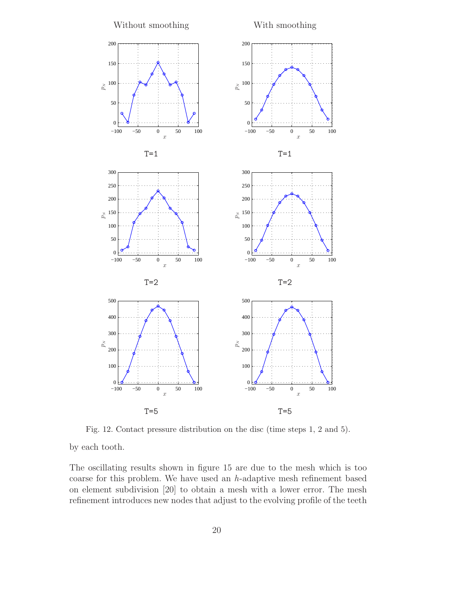

Fig. 12. Contact pressure distribution on the disc (time steps 1, 2 and 5).

by each tooth.

The oscillating results shown in figure 15 are due to the mesh which is too coarse for this problem. We have used an *h*-adaptive mesh refinement based on element subdivision [20] to obtain a mesh with a lower error. The mesh refinement introduces new nodes that adjust to the evolving profile of the teeth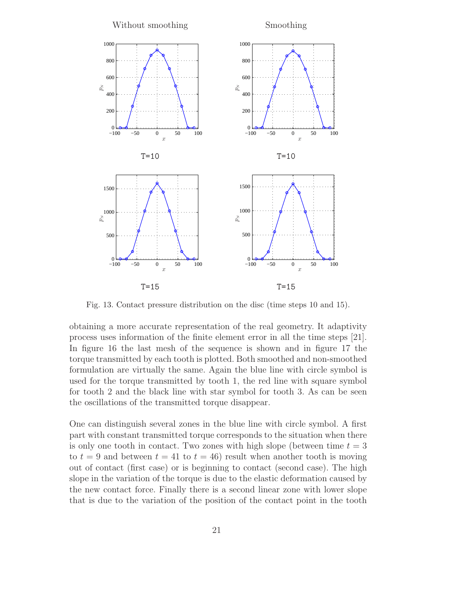

Fig. 13. Contact pressure distribution on the disc (time steps 10 and 15).

obtaining a more accurate representation of the real geometry. It adaptivity process uses information of the finite element error in all the time steps [21]. In figure 16 the last mesh of the sequence is shown and in figure 17 the torque transmitted by each tooth is plotted. Both smoothed and non-smoothed formulation are virtually the same. Again the blue line with circle symbol is used for the torque transmitted by tooth 1, the red line with square symbol for tooth 2 and the black line with star symbol for tooth 3. As can be seen the oscillations of the transmitted torque disappear.

One can distinguish several zones in the blue line with circle symbol. A first part with constant transmitted torque corresponds to the situation when there is only one tooth in contact. Two zones with high slope (between time  $t = 3$ ) to  $t = 9$  and between  $t = 41$  to  $t = 46$ ) result when another tooth is moving out of contact (first case) or is beginning to contact (second case). The high slope in the variation of the torque is due to the elastic deformation caused by the new contact force. Finally there is a second linear zone with lower slope that is due to the variation of the position of the contact point in the tooth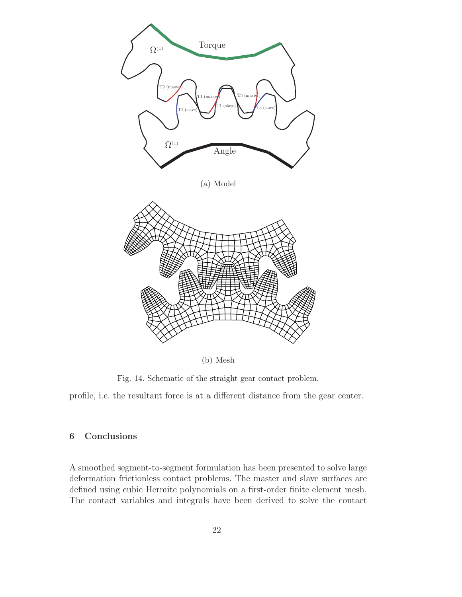

(b) Mesh

Fig. 14. Schematic of the straight gear contact problem.

profile, i.e. the resultant force is at a different distance from the gear center.

# **6 Conclusions**

A smoothed segment-to-segment formulation has been presented to solve large deformation frictionless contact problems. The master and slave surfaces are defined using cubic Hermite polynomials on a first-order finite element mesh. The contact variables and integrals have been derived to solve the contact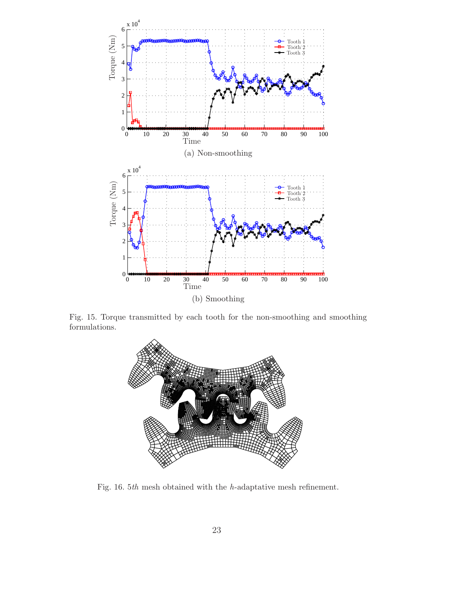

Fig. 15. Torque transmitted by each tooth for the non-smoothing and smoothing formulations.



Fig. 16. 5*th* mesh obtained with the *h*-adaptative mesh refinement.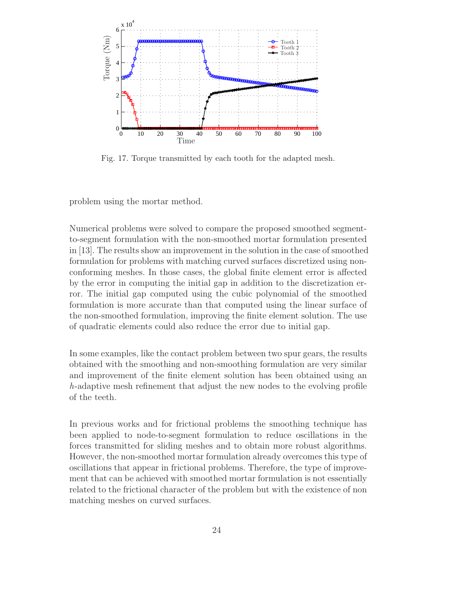

Fig. 17. Torque transmitted by each tooth for the adapted mesh.

problem using the mortar method.

Numerical problems were solved to compare the proposed smoothed segmentto-segment formulation with the non-smoothed mortar formulation presented in [13]. The results show an improvement in the solution in the case of smoothed formulation for problems with matching curved surfaces discretized using nonconforming meshes. In those cases, the global finite element error is affected by the error in computing the initial gap in addition to the discretization error. The initial gap computed using the cubic polynomial of the smoothed formulation is more accurate than that computed using the linear surface of the non-smoothed formulation, improving the finite element solution. The use of quadratic elements could also reduce the error due to initial gap.

In some examples, like the contact problem between two spur gears, the results obtained with the smoothing and non-smoothing formulation are very similar and improvement of the finite element solution has been obtained using an *h*-adaptive mesh refinement that adjust the new nodes to the evolving profile of the teeth.

In previous works and for frictional problems the smoothing technique has been applied to node-to-segment formulation to reduce oscillations in the forces transmitted for sliding meshes and to obtain more robust algorithms. However, the non-smoothed mortar formulation already overcomes this type of oscillations that appear in frictional problems. Therefore, the type of improvement that can be achieved with smoothed mortar formulation is not essentially related to the frictional character of the problem but with the existence of non matching meshes on curved surfaces.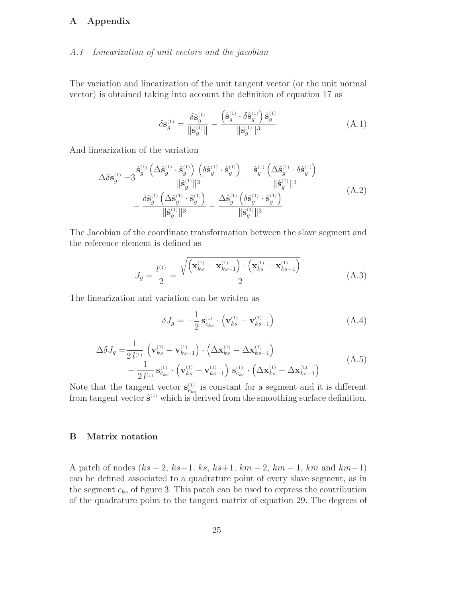# **A Appendix**

#### *A.1 Linearization of unit vectors and the jacobian*

The variation and linearization of the unit tangent vector (or the unit normal vector) is obtained taking into account the definition of equation 17 as

$$
\delta \mathbf{s}_{g}^{(1)} = \frac{\delta \hat{\mathbf{s}}_{g}^{(1)}}{\|\hat{\mathbf{s}}_{g}^{(1)}\|} - \frac{\left(\hat{\mathbf{s}}_{g}^{(1)} \cdot \delta \hat{\mathbf{s}}_{g}^{(1)}\right) \hat{\mathbf{s}}_{g}^{(1)}}{\|\hat{\mathbf{s}}_{g}^{(1)}\|^{3}}
$$
(A.1)

And linearization of the variation

$$
\Delta \delta \mathbf{s}_{g}^{(1)} = 3 \frac{\hat{\mathbf{s}}_{g}^{(1)} \left( \Delta \hat{\mathbf{s}}_{g}^{(1)} \cdot \hat{\mathbf{s}}_{g}^{(1)} \right) \left( \delta \hat{\mathbf{s}}_{g}^{(1)} \cdot \hat{\mathbf{s}}_{g}^{(1)} \right)}{\|\hat{\mathbf{s}}_{g}^{(1)}\|^{3}} - \frac{\hat{\mathbf{s}}_{g}^{(1)} \left( \Delta \hat{\mathbf{s}}_{g}^{(1)} \cdot \delta \hat{\mathbf{s}}_{g}^{(1)} \right)}{\|\hat{\mathbf{s}}_{g}^{(1)}\|^{3}} - \frac{\delta \hat{\mathbf{s}}_{g}^{(1)} \left( \Delta \hat{\mathbf{s}}_{g}^{(1)} \cdot \hat{\mathbf{s}}_{g}^{(1)} \right)}{\|\hat{\mathbf{s}}_{g}^{(1)}\|^{3}} - \frac{\Delta \hat{\mathbf{s}}_{g}^{(1)} \left( \delta \hat{\mathbf{s}}_{g}^{(1)} \cdot \hat{\mathbf{s}}_{g}^{(1)} \right)}{\|\hat{\mathbf{s}}_{g}^{(1)}\|^{3}}
$$
(A.2)

The Jacobian of the coordinate transformation between the slave segment and the reference element is defined as

$$
J_g = \frac{l^{(1)}}{2} = \frac{\sqrt{\left(\mathbf{x}_{ks}^{(1)} - \mathbf{x}_{ks-1}^{(1)}\right) \cdot \left(\mathbf{x}_{ks}^{(1)} - \mathbf{x}_{ks-1}^{(1)}\right)}}{2}
$$
(A.3)

The linearization and variation can be written as

$$
\delta J_g = -\frac{1}{2} \mathbf{s}_{c_{ks}}^{(1)} \cdot \left( \mathbf{v}_{ks}^{(1)} - \mathbf{v}_{ks-1}^{(1)} \right) \tag{A.4}
$$

$$
\Delta \delta J_g = \frac{1}{2 l^{(1)}} \left( \mathbf{v}_{ks}^{(1)} - \mathbf{v}_{ks-1}^{(1)} \right) \cdot \left( \Delta \mathbf{x}_{ks}^{(1)} - \Delta \mathbf{x}_{ks-1}^{(1)} \right) \n- \frac{1}{2 l^{(1)}} \mathbf{s}_{c_{ks}}^{(1)} \cdot \left( \mathbf{v}_{ks}^{(1)} - \mathbf{v}_{ks-1}^{(1)} \right) \mathbf{s}_{c_{ks}}^{(1)} \cdot \left( \Delta \mathbf{x}_{ks}^{(1)} - \Delta \mathbf{x}_{ks-1}^{(1)} \right)
$$
\n(A.5)

Note that the tangent vector  $\mathbf{s}_{c_{ks}}^{(1)}$  is constant for a segment and it is different from tangent vector  $\hat{\mathbf{s}}^{(1)}$  which is derived from the smoothing surface definition.

## **B Matrix notation**

A patch of nodes  $(ks - 2, ks - 1, ks, ks + 1, km - 2, km - 1, km and km + 1)$ can be defined associated to a quadrature point of every slave segment, as in the segment  $c_{ks}$  of figure 3. This patch can be used to express the contribution of the quadrature point to the tangent matrix of equation 29. The degrees of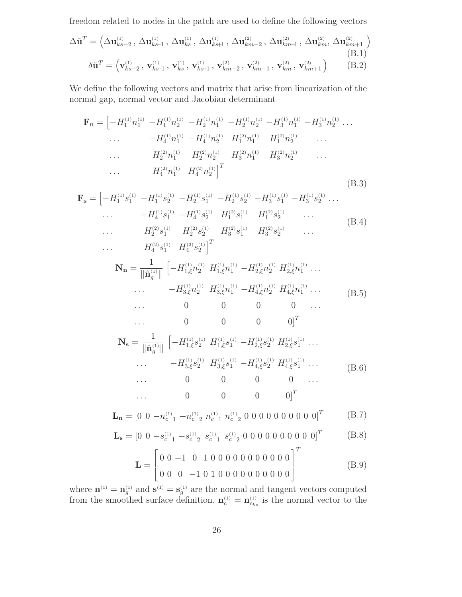freedom related to nodes in the patch are used to define the following vectors

$$
\Delta \check{\mathbf{u}}^{T} = \left( \Delta \mathbf{u}_{ks-2}^{(1)}, \, \Delta \mathbf{u}_{ks}^{(1)}, \, \Delta \mathbf{u}_{ks}^{(1)}, \, \Delta \mathbf{u}_{ks+1}^{(1)}, \, \Delta \mathbf{u}_{km-2}^{(2)}, \, \Delta \mathbf{u}_{km-1}^{(2)}, \, \Delta \mathbf{u}_{km}^{(2)}, \, \Delta \mathbf{u}_{km+1}^{(2)} \right)
$$
\n
$$
\delta \check{\mathbf{u}}^{T} = \left( \mathbf{v}_{ks-2}^{(1)}, \, \mathbf{v}_{ks+1}^{(1)}, \, \mathbf{v}_{ks+1}^{(1)}, \, \mathbf{v}_{km-2}^{(2)}, \, \mathbf{v}_{km-1}^{(2)}, \, \mathbf{v}_{km}^{(2)}, \, \mathbf{v}_{km+1}^{(2)} \right) \tag{B.2}
$$

We define the following vectors and matrix that arise from linearization of the normal gap, normal vector and Jacobian determinant

$$
\mathbf{F}_{\mathbf{n}} = \begin{bmatrix} -H_1^{(1)} n_1^{(1)} & -H_1^{(1)} n_2^{(1)} & -H_2^{(1)} n_1^{(1)} & -H_2^{(1)} n_2^{(1)} & -H_3^{(1)} n_1^{(1)} & -H_3^{(1)} n_2^{(1)} & \dots \\ & \dots & -H_4^{(1)} n_1^{(1)} & -H_4^{(1)} n_2^{(1)} & H_1^{(2)} n_1^{(1)} & H_1^{(2)} n_2^{(1)} & \dots \\ & \dots & H_2^{(2)} n_1^{(1)} & H_2^{(2)} n_2^{(1)} & H_3^{(2)} n_1^{(1)} & H_3^{(2)} n_2^{(1)} & \dots \\ & \dots & H_4^{(2)} n_1^{(1)} & H_4^{(2)} n_2^{(1)} \end{bmatrix}^T
$$
\n(B.3)

$$
\mathbf{F}_{\mathbf{s}} = \begin{bmatrix} -H_1^{(1)}s_1^{(1)} & -H_1^{(1)}s_2^{(1)} & -H_2^{(1)}s_1^{(1)} & -H_2^{(1)}s_2^{(1)} & -H_3^{(1)}s_1^{(1)} & -H_3^{(1)}s_2^{(1)} & \dots \\ & \dots & -H_4^{(1)}s_1^{(1)} & -H_4^{(1)}s_2^{(1)} & H_1^{(2)}s_1^{(1)} & H_1^{(2)}s_2^{(1)} & \dots \\ & \dots & H_2^{(2)}s_1^{(1)} & H_2^{(2)}s_2^{(1)} & H_3^{(2)}s_1^{(1)} & H_3^{(2)}s_2^{(1)} & \dots \end{bmatrix} \tag{B.4}
$$

$$
\begin{aligned}\n\mathbf{N}_{\mathbf{n}} &= \frac{1}{\|\hat{\mathbf{n}}_{3}^{(1)}\|} \left[ -H_{1,\xi}^{(1)} n_{2}^{(1)}\right]^{T} \\
\mathbf{N}_{\mathbf{n}} &= \frac{1}{\|\hat{\mathbf{n}}_{g}^{(1)}\|} \left[ -H_{1,\xi}^{(1)} n_{2}^{(1)}\right] H_{1,\xi}^{(1)} n_{1}^{(1)} - H_{2,\xi}^{(1)} n_{2}^{(1)}\right] H_{2,\xi}^{(1)} n_{1}^{(1)} \dots \\
&\dots \qquad \qquad -H_{3,\xi}^{(1)} n_{2}^{(1)}\right] H_{3,\xi}^{(1)} n_{1}^{(1)} - H_{4,\xi}^{(1)} n_{2}^{(1)}\right] H_{4,\xi}^{(1)} n_{1}^{(1)} \dots \\
&\dots \qquad 0 \qquad 0 \qquad 0 \qquad 0 \qquad \dots\n\end{aligned} \tag{B.5}
$$

$$
\mathbf{N}_{\mathbf{s}} = \frac{1}{\|\hat{\mathbf{n}}_{g}^{(1)}\|} \begin{bmatrix} -H_{1,\xi}^{(1)}s_{2}^{(1)} & H_{1,\xi}^{(1)}s_{1}^{(1)} - H_{2,\xi}^{(1)}s_{2}^{(1)} & H_{2,\xi}^{(1)}s_{1}^{(1)} \dots \\ \cdots & -H_{3,\xi}^{(1)}s_{2}^{(1)} & H_{3,\xi}^{(1)}s_{1}^{(1)} - H_{4,\xi}^{(1)}s_{2}^{(1)} & H_{4,\xi}^{(1)}s_{1}^{(1)} \dots \\ \cdots & 0 & 0 & 0 & 0 & \cdots \\ \cdots & 0 & 0 & 0 & 0 & \cdots \\ \cdots & 0 & 0 & 0 & 0 \end{bmatrix}^{T}
$$
 (B.6)

$$
\mathbf{L}_{\mathbf{n}} = \begin{bmatrix} 0 & 0 & -n_c^{(1)} & -n_c^{(1)} & n_c^{(1)} & n_c^{(1)} & 0 & 0 & 0 & 0 & 0 & 0 & 0 & 0 \end{bmatrix}^T
$$
 (B.7)

$$
\mathbf{L_s} = \begin{bmatrix} 0 & 0 & -s_c^{(1)} & -s_c^{(1)} & s_c^{(1)} & s_c^{(1)} & 0 & 0 & 0 & 0 & 0 & 0 & 0 & 0 \end{bmatrix}^T
$$
 (B.8)

**L** = ⎡ ⎢ ⎣ 0 0 −1 0 100000000000 00 0 −1010000000000 ⎤ ⎥ ⎦ T (B.9)

where  $\mathbf{n}^{(1)} = \mathbf{n}_g^{(1)}$  and  $\mathbf{s}^{(1)} = \mathbf{s}_g^{(1)}$  are the normal and tangent vectors computed from the smoothed surface definition,  $\mathbf{n}_c^{(1)} = \mathbf{n}_{c_{ks}}^{(1)}$  is the normal vector to the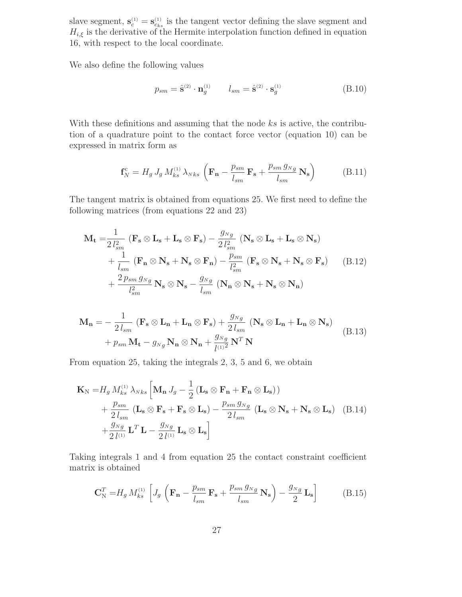slave segment,  $\mathbf{s}_{c}^{(1)} = \mathbf{s}_{cks}^{(1)}$  is the tangent vector defining the slave segment and  $U_{c}$  is the derivative of the Usumita intermalation function defined in equation  $H_{i,\xi}$  is the derivative of the Hermite interpolation function defined in equation 16, with respect to the local coordinate.

We also define the following values

$$
p_{sm} = \hat{\mathbf{s}}^{(2)} \cdot \mathbf{n}_g^{(1)} \qquad l_{sm} = \hat{\mathbf{s}}^{(2)} \cdot \mathbf{s}_g^{(1)} \tag{B.10}
$$

With these definitions and assuming that the node  $ks$  is active, the contribution of a quadrature point to the contact force vector (equation 10) can be expressed in matrix form as

$$
\mathbf{f}_{N}^{\text{c}} = H_{g} J_{g} M_{ks}^{(1)} \lambda_{Nks} \left( \mathbf{F}_{n} - \frac{p_{sm}}{l_{sm}} \mathbf{F}_{s} + \frac{p_{sm} g_{Ng}}{l_{sm}} \mathbf{N}_{s} \right) \tag{B.11}
$$

The tangent matrix is obtained from equations 25. We first need to define the following matrices (from equations 22 and 23)

$$
\mathbf{M}_{\mathbf{t}} = \frac{1}{2 l_{sm}^{2}} \left( \mathbf{F}_{\mathbf{s}} \otimes \mathbf{L}_{\mathbf{s}} + \mathbf{L}_{\mathbf{s}} \otimes \mathbf{F}_{\mathbf{s}} \right) - \frac{g_{Ng}}{2 l_{sm}^{2}} \left( \mathbf{N}_{\mathbf{s}} \otimes \mathbf{L}_{\mathbf{s}} + \mathbf{L}_{\mathbf{s}} \otimes \mathbf{N}_{\mathbf{s}} \right) + \frac{1}{l_{sm}} \left( \mathbf{F}_{\mathbf{n}} \otimes \mathbf{N}_{\mathbf{s}} + \mathbf{N}_{\mathbf{s}} \otimes \mathbf{F}_{\mathbf{n}} \right) - \frac{p_{sm}}{l_{sm}^{2}} \left( \mathbf{F}_{\mathbf{s}} \otimes \mathbf{N}_{\mathbf{s}} + \mathbf{N}_{\mathbf{s}} \otimes \mathbf{F}_{\mathbf{s}} \right) + \frac{2 p_{sm} g_{Ng}}{l_{sm}^{2}} \mathbf{N}_{\mathbf{s}} \otimes \mathbf{N}_{\mathbf{s}} - \frac{g_{Ng}}{l_{sm}} \left( \mathbf{N}_{\mathbf{n}} \otimes \mathbf{N}_{\mathbf{s}} + \mathbf{N}_{\mathbf{s}} \otimes \mathbf{N}_{\mathbf{n}} \right)
$$
(B.12)

$$
\mathbf{M}_{\mathbf{n}} = -\frac{1}{2 l_{sm}} \left( \mathbf{F}_{\mathbf{s}} \otimes \mathbf{L}_{\mathbf{n}} + \mathbf{L}_{\mathbf{n}} \otimes \mathbf{F}_{\mathbf{s}} \right) + \frac{g_{Ng}}{2 l_{sm}} \left( \mathbf{N}_{\mathbf{s}} \otimes \mathbf{L}_{\mathbf{n}} + \mathbf{L}_{\mathbf{n}} \otimes \mathbf{N}_{\mathbf{s}} \right)
$$
  
+  $p_{sm} \mathbf{M}_{\mathbf{t}} - g_{Ng} \mathbf{N}_{\mathbf{n}} \otimes \mathbf{N}_{\mathbf{n}} + \frac{g_{Ng}}{l^{(1)^2}} \mathbf{N}^T \mathbf{N}$  (B.13)

From equation 25, taking the integrals 2, 3, 5 and 6, we obtain

$$
\mathbf{K}_{\mathrm{N}} = H_{g} M_{ks}^{(1)} \lambda_{Nks} \left[ \mathbf{M}_{\mathbf{n}} J_{g} - \frac{1}{2} \left( \mathbf{L}_{\mathbf{s}} \otimes \mathbf{F}_{\mathbf{n}} + \mathbf{F}_{\mathbf{n}} \otimes \mathbf{L}_{\mathbf{s}} \right) \right) + \frac{p_{sm}}{2 l_{sm}} \left( \mathbf{L}_{\mathbf{s}} \otimes \mathbf{F}_{\mathbf{s}} + \mathbf{F}_{\mathbf{s}} \otimes \mathbf{L}_{\mathbf{s}} \right) - \frac{p_{sm} g_{Ng}}{2 l_{sm}} \left( \mathbf{L}_{\mathbf{s}} \otimes \mathbf{N}_{\mathbf{s}} + \mathbf{N}_{\mathbf{s}} \otimes \mathbf{L}_{\mathbf{s}} \right) \quad (B.14) + \frac{g_{Ng}}{2 l^{(1)}} \mathbf{L}^{T} \mathbf{L} - \frac{g_{Ng}}{2 l^{(1)}} \mathbf{L}_{\mathbf{s}} \otimes \mathbf{L}_{\mathbf{s}} \right]
$$

Taking integrals 1 and 4 from equation 25 the contact constraint coefficient matrix is obtained

$$
\mathbf{C}_{\mathrm{N}}^{T} = H_{g} M_{ks}^{(1)} \left[ J_{g} \left( \mathbf{F}_{\mathbf{n}} - \frac{p_{sm}}{l_{sm}} \mathbf{F}_{\mathbf{s}} + \frac{p_{sm} g_{Ng}}{l_{sm}} \mathbf{N}_{\mathbf{s}} \right) - \frac{g_{Ng}}{2} \mathbf{L}_{\mathbf{s}} \right]
$$
(B.15)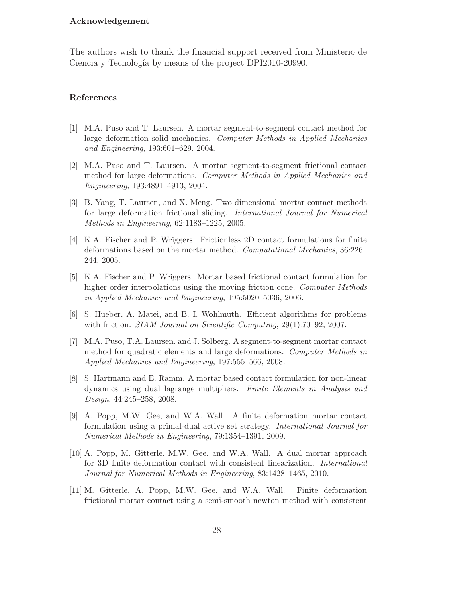## **Acknowledgement**

The authors wish to thank the financial support received from Ministerio de Ciencia y Tecnología by means of the project DPI2010-20990.

#### **References**

- [1] M.A. Puso and T. Laursen. A mortar segment-to-segment contact method for large deformation solid mechanics. *Computer Methods in Applied Mechanics and Engineering*, 193:601–629, 2004.
- [2] M.A. Puso and T. Laursen. A mortar segment-to-segment frictional contact method for large deformations. *Computer Methods in Applied Mechanics and Engineering*, 193:4891–4913, 2004.
- [3] B. Yang, T. Laursen, and X. Meng. Two dimensional mortar contact methods for large deformation frictional sliding. *International Journal for Numerical Methods in Engineering*, 62:1183–1225, 2005.
- [4] K.A. Fischer and P. Wriggers. Frictionless 2D contact formulations for finite deformations based on the mortar method. *Computational Mechanics*, 36:226– 244, 2005.
- [5] K.A. Fischer and P. Wriggers. Mortar based frictional contact formulation for higher order interpolations using the moving friction cone. *Computer Methods in Applied Mechanics and Engineering*, 195:5020–5036, 2006.
- [6] S. Hueber, A. Matei, and B. I. Wohlmuth. Efficient algorithms for problems with friction. *SIAM Journal on Scientific Computing*, 29(1):70–92, 2007.
- [7] M.A. Puso, T.A. Laursen, and J. Solberg. A segment-to-segment mortar contact method for quadratic elements and large deformations. *Computer Methods in Applied Mechanics and Engineering*, 197:555–566, 2008.
- [8] S. Hartmann and E. Ramm. A mortar based contact formulation for non-linear dynamics using dual lagrange multipliers. *Finite Elements in Analysis and Design*, 44:245–258, 2008.
- [9] A. Popp, M.W. Gee, and W.A. Wall. A finite deformation mortar contact formulation using a primal-dual active set strategy. *International Journal for Numerical Methods in Engineering*, 79:1354–1391, 2009.
- [10] A. Popp, M. Gitterle, M.W. Gee, and W.A. Wall. A dual mortar approach for 3D finite deformation contact with consistent linearization. *International Journal for Numerical Methods in Engineering*, 83:1428–1465, 2010.
- [11] M. Gitterle, A. Popp, M.W. Gee, and W.A. Wall. Finite deformation frictional mortar contact using a semi-smooth newton method with consistent